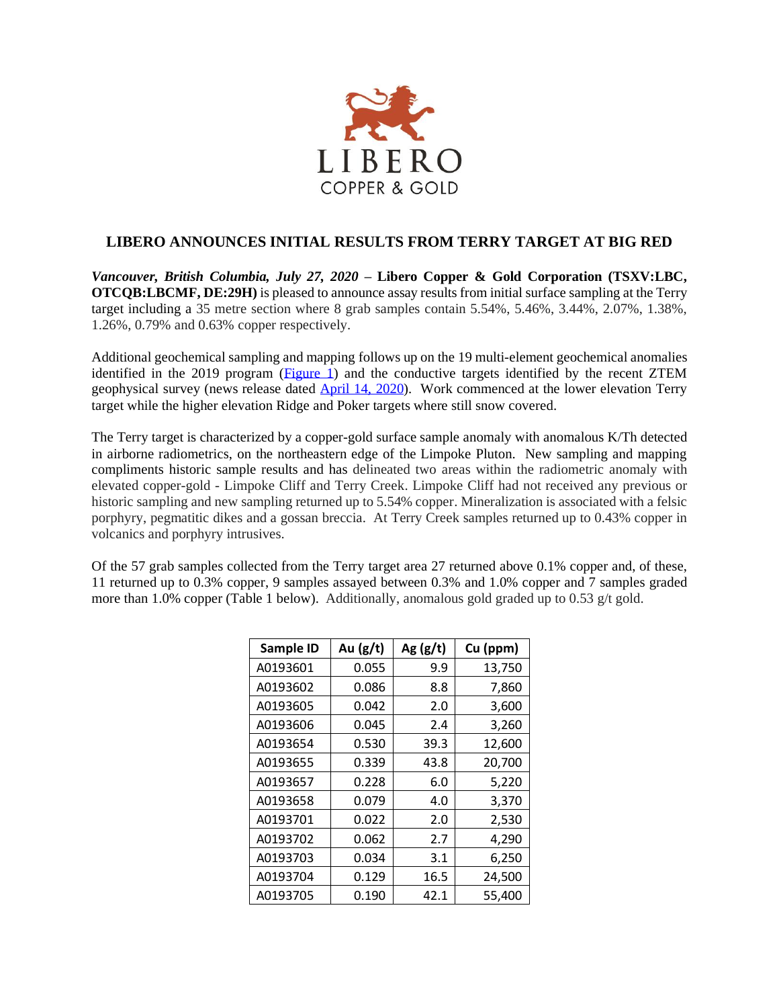

## **LIBERO ANNOUNCES INITIAL RESULTS FROM TERRY TARGET AT BIG RED**

*Vancouver, British Columbia, July 27, 2020* **– Libero Copper & Gold Corporation (TSXV:LBC, OTCQB:LBCMF, DE:29H)** is pleased to announce assay results from initial surface sampling at the Terry target including a 35 metre section where 8 grab samples contain 5.54%, 5.46%, 3.44%, 2.07%, 1.38%, 1.26%, 0.79% and 0.63% copper respectively.

Additional geochemical sampling and mapping follows up on the 19 multi-element geochemical anomalies identified in the 2019 program [\(Figure 1\)](http://liberocopper.com/_resources/news/Big-Red-Figure-1-GoldInRocks.pdf) and the conductive targets identified by the recent ZTEM geophysical survey (news release dated [April 14, 2020\)](http://liberocopper.com/_resources/news/PRApril142020.pdf). Work commenced at the lower elevation Terry target while the higher elevation Ridge and Poker targets where still snow covered.

The Terry target is characterized by a copper-gold surface sample anomaly with anomalous K/Th detected in airborne radiometrics, on the northeastern edge of the Limpoke Pluton. New sampling and mapping compliments historic sample results and has delineated two areas within the radiometric anomaly with elevated copper-gold - Limpoke Cliff and Terry Creek. Limpoke Cliff had not received any previous or historic sampling and new sampling returned up to 5.54% copper. Mineralization is associated with a felsic porphyry, pegmatitic dikes and a gossan breccia. At Terry Creek samples returned up to 0.43% copper in volcanics and porphyry intrusives.

Of the 57 grab samples collected from the Terry target area 27 returned above 0.1% copper and, of these, 11 returned up to 0.3% copper, 9 samples assayed between 0.3% and 1.0% copper and 7 samples graded more than 1.0% copper (Table 1 below). Additionally, anomalous gold graded up to 0.53 g/t gold.

| Sample ID | Au $(g/t)$ | Ag $(g/t)$ | Cu (ppm) |
|-----------|------------|------------|----------|
| A0193601  | 0.055      | 9.9        | 13,750   |
| A0193602  | 0.086      | 8.8        | 7,860    |
| A0193605  | 0.042      | 2.0        | 3,600    |
| A0193606  | 0.045      | 2.4        | 3,260    |
| A0193654  | 0.530      | 39.3       | 12,600   |
| A0193655  | 0.339      | 43.8       | 20,700   |
| A0193657  | 0.228      | 6.0        | 5,220    |
| A0193658  | 0.079      | 4.0        | 3,370    |
| A0193701  | 0.022      | 2.0        | 2,530    |
| A0193702  | 0.062      | 2.7        | 4,290    |
| A0193703  | 0.034      | 3.1        | 6,250    |
| A0193704  | 0.129      | 16.5       | 24,500   |
| A0193705  | 0.190      | 42.1       | 55,400   |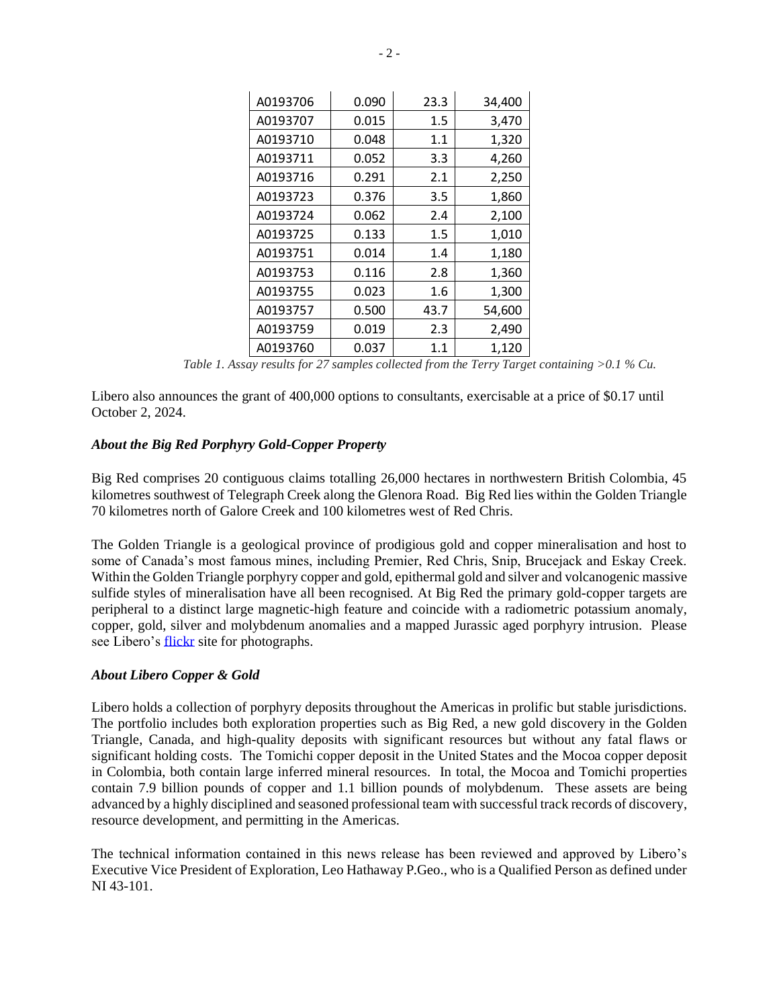| A0193706 | 0.090 | 23.3    | 34,400 |
|----------|-------|---------|--------|
| A0193707 | 0.015 | 1.5     | 3,470  |
| A0193710 | 0.048 | 1.1     | 1,320  |
| A0193711 | 0.052 | 3.3     | 4,260  |
| A0193716 | 0.291 | 2.1     | 2,250  |
| A0193723 | 0.376 | 3.5     | 1,860  |
| A0193724 | 0.062 | 2.4     | 2,100  |
| A0193725 | 0.133 | $1.5\,$ | 1,010  |
| A0193751 | 0.014 | 1.4     | 1,180  |
| A0193753 | 0.116 | 2.8     | 1,360  |
| A0193755 | 0.023 | 1.6     | 1,300  |
| A0193757 | 0.500 | 43.7    | 54,600 |
| A0193759 | 0.019 | 2.3     | 2,490  |
| A0193760 | 0.037 | 1.1     | 1.120  |

*Table 1. Assay results for 27 samples collected from the Terry Target containing >0.1 % Cu.*

Libero also announces the grant of 400,000 options to consultants, exercisable at a price of \$0.17 until October 2, 2024.

## *About the Big Red Porphyry Gold-Copper Property*

Big Red comprises 20 contiguous claims totalling 26,000 hectares in northwestern British Colombia, 45 kilometres southwest of Telegraph Creek along the Glenora Road. Big Red lies within the Golden Triangle 70 kilometres north of Galore Creek and 100 kilometres west of Red Chris.

The Golden Triangle is a geological province of prodigious gold and copper mineralisation and host to some of Canada's most famous mines, including Premier, Red Chris, Snip, Brucejack and Eskay Creek. Within the Golden Triangle porphyry copper and gold, epithermal gold and silver and volcanogenic massive sulfide styles of mineralisation have all been recognised. At Big Red the primary gold-copper targets are peripheral to a distinct large magnetic-high feature and coincide with a radiometric potassium anomaly, copper, gold, silver and molybdenum anomalies and a mapped Jurassic aged porphyry intrusion. Please see Libero's [flickr](https://www.flickr.com/photos/150654141@N07/albums) site for photographs.

## *About Libero Copper & Gold*

Libero holds a collection of porphyry deposits throughout the Americas in prolific but stable jurisdictions. The portfolio includes both exploration properties such as Big Red, a new gold discovery in the Golden Triangle, Canada, and high-quality deposits with significant resources but without any fatal flaws or significant holding costs. The Tomichi copper deposit in the United States and the Mocoa copper deposit in Colombia, both contain large inferred mineral resources. In total, the Mocoa and Tomichi properties contain 7.9 billion pounds of copper and 1.1 billion pounds of molybdenum. These assets are being advanced by a highly disciplined and seasoned professional team with successful track records of discovery, resource development, and permitting in the Americas.

The technical information contained in this news release has been reviewed and approved by Libero's Executive Vice President of Exploration, Leo Hathaway P.Geo., who is a Qualified Person as defined under NI 43-101.